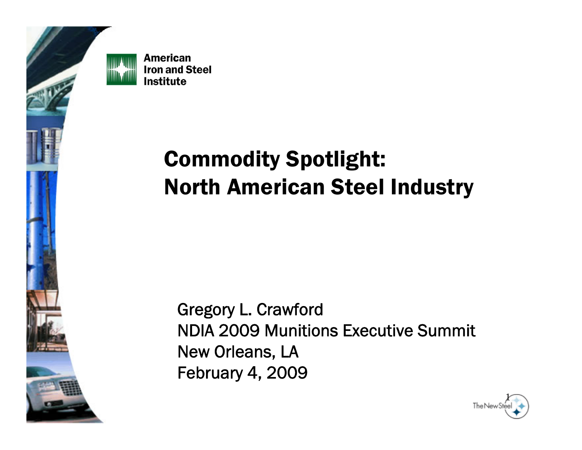

### Commodity Spotlight: North American Steel Industry

Gregory L. Crawford NDIA 2009 Munitions Executive SummitNew Orleans, LA February 4, 2009

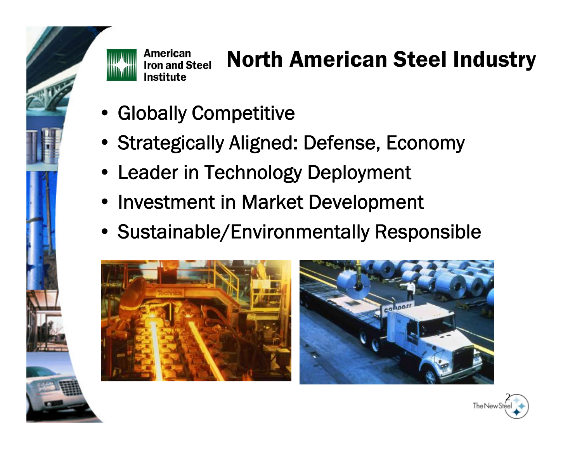

# North American Steel Industry

- Globally Competitive
- Strategically Aligned: Defense, Economy
- Leader in Technology Deployment
- Investment in Market Development
- Sustainable/Environmentally Responsible





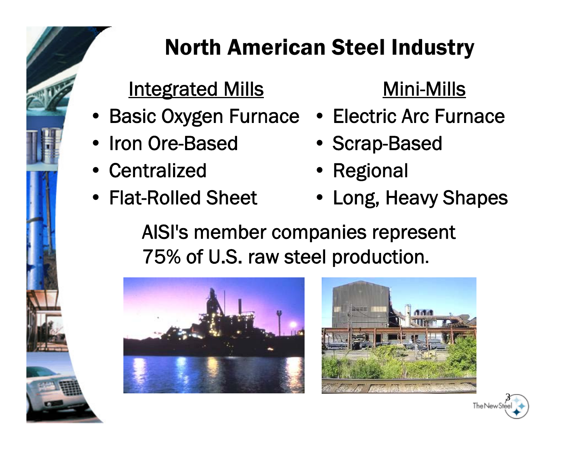#### North American Steel Industry

#### Integrated Mills

- Basic Oxygen Furnace Electric Arc Furnace
- •Iron Ore-Based
- Centralized
- Flat-Rolled Sheet

#### Mini-Mills

- 
- Scrap-Based
- Regional
- Long, Heavy Shapes

AISI's member companies represent 75% of U.S. raw steel production.





3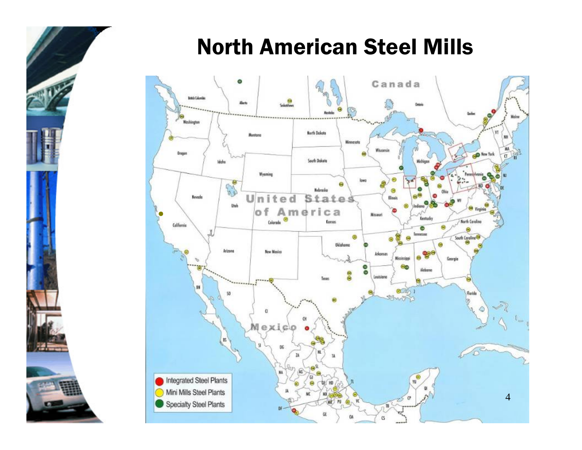#### North American Steel Mills

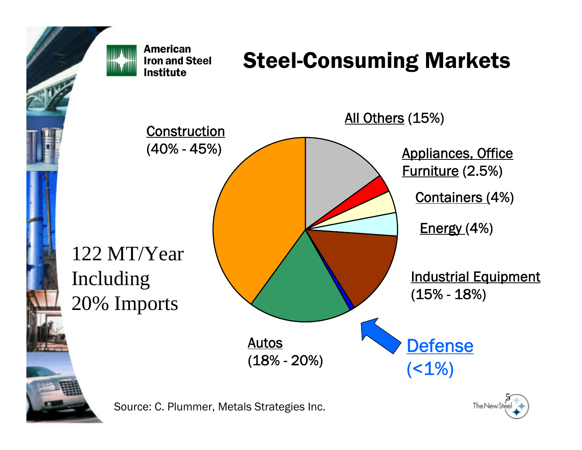

#### Steel-Consuming Markets





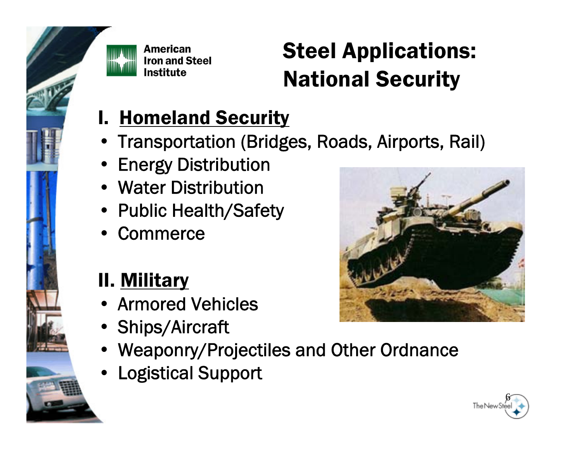

# Steel Applications: National Security

- **I. Homeland Security**
- Transportation (Bridges, Roads, Airports, Rail)
- Energy Distribution
- Water Distribution
- Public Health/Safety
- Commerce

#### II. Military

- Armored Vehicles
- Ships/Aircraft
- Weaponry/Projectiles and Other Ordnance
- Logistical Support



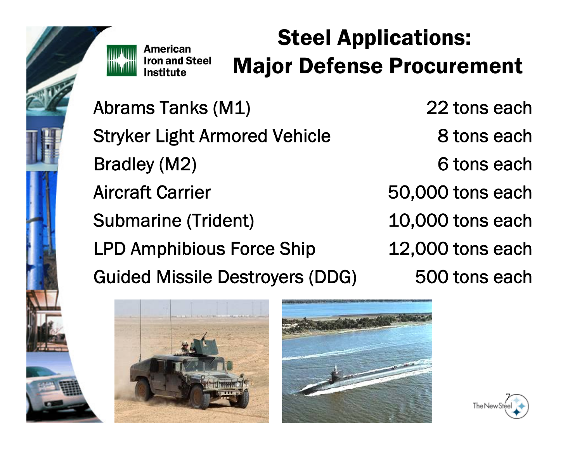

### Steel Applications: Major Defense Procurement

Abrams Tanks (M1) 22 tons each Stryker Light Armored Vehicle 8 tons each Bradley (M2) 6 tons each Aircraft CarrierSubmarine (Trident) 10,000 tons each LPD Amphibious Force Ship 12,000 tons each Guided Missile Destroyers (DDG) 500 tons each

50,000 tons each





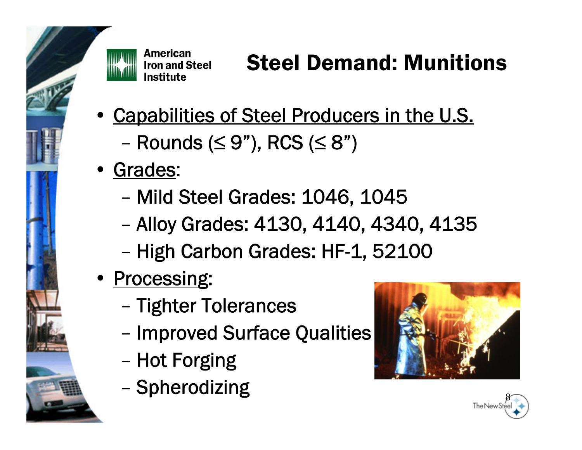

# Steel Demand: Munitions

- Capabilities of Steel Producers in the U.S.  $-$  Rounds ( $\leq$  9"), RCS ( $\leq$  8")
- Grades:
	- –Mild Steel Grades: 1046, 1045
	- Alloy Grades: 4130, 4140, 4340, 4135
	- –- High Carbon Grades: HF-1, 52100
- Processing:
	- Tighter Tolerances
	- –- Improved Surface Qualities
	- –- Hot Forging
	- Spherodizing



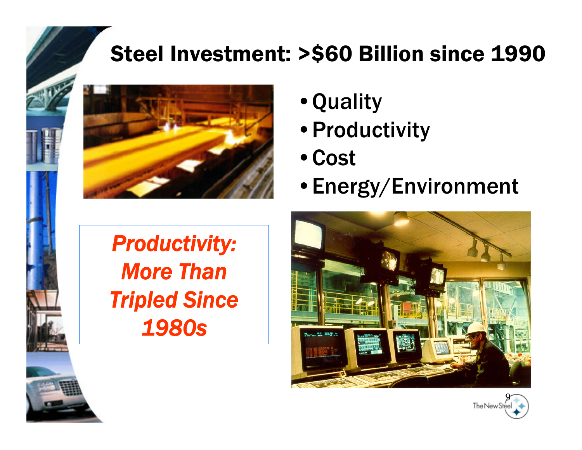#### Steel Investment: >\$60 Billion since 1990



- •Quality
- •Productivity
- •Cost
- •Energy/Environment

*Productivity: More Than Tripled Since 1980s*



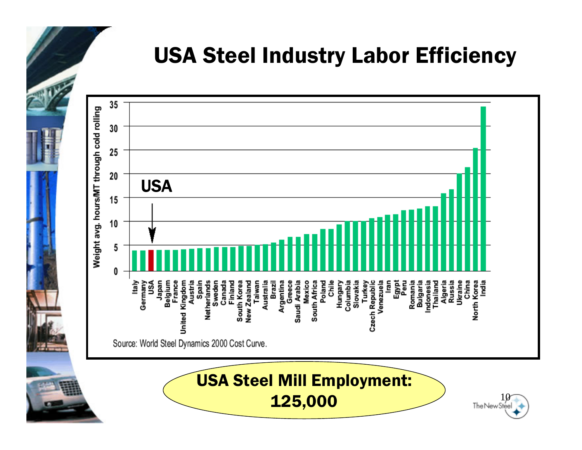#### USA Steel Industry Labor Efficiency



USA Steel Mill Employment:  $\underbrace{125,000}$  10

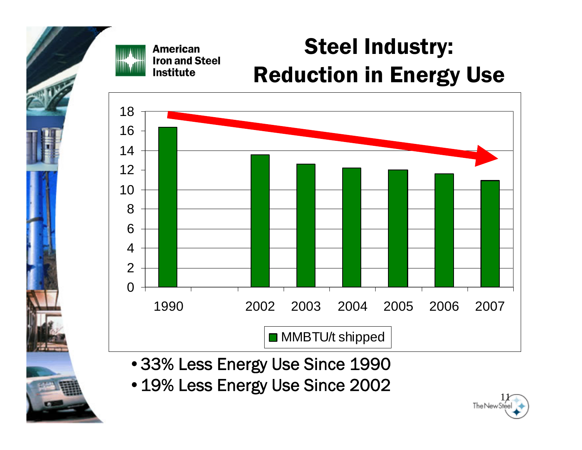#### Steel Industry: **American Iron and Steel** Reduction in Energy Use Institute



- •33% Less Energy Use Since 1990
- 19% Less Energy Use Since 2002

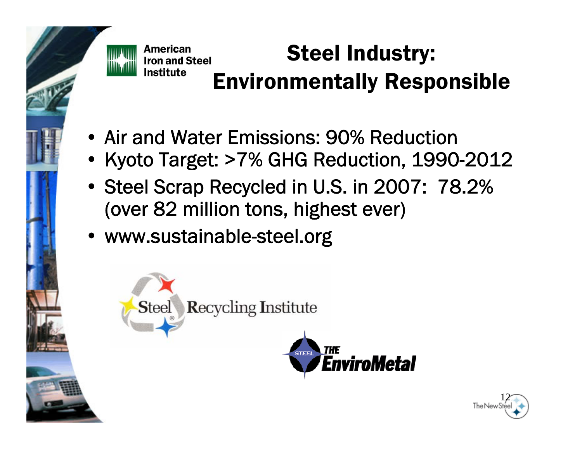

nstitute

#### **American** Steel Industry: **Iron and Steel** Environmentally Responsible

EnviroMetal

- Air and Water Emissions: 90% Reduction
- Kyoto Target: >7% GHG Reduction, 1990-2012
- Steel Scrap Recycled in U.S. in 2007: 78.2% (over 82 million tons, highest ever)
- www.sustainable-steel.org



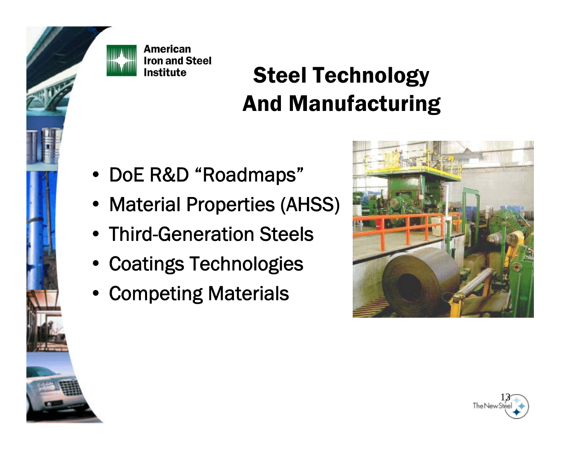

## Steel Technology And Manufacturing

- DoE R&D "Roadmaps"
- Material Properties (AHSS)
- Third-Generation Steels
- Coatings Technologies
- Competing Materials



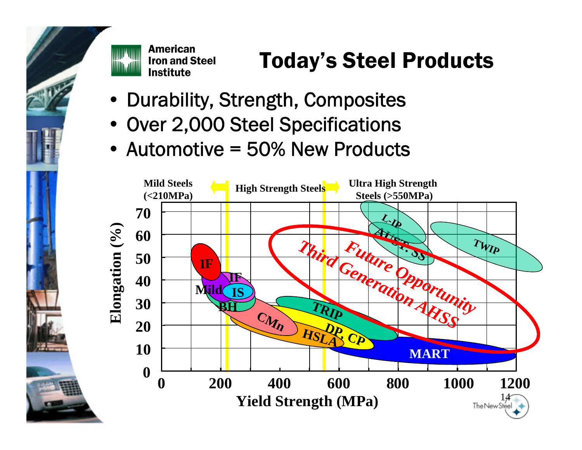

# Today's Steel Products

- $\bullet$ Durability, Strength, Composites
- Over 2,000 Steel Specifications
- Automotive = 50% New Products

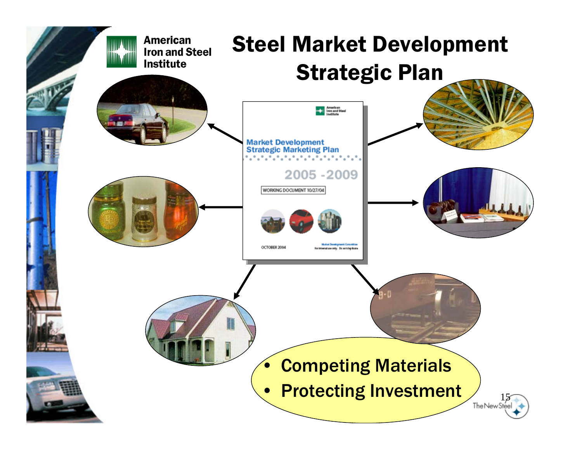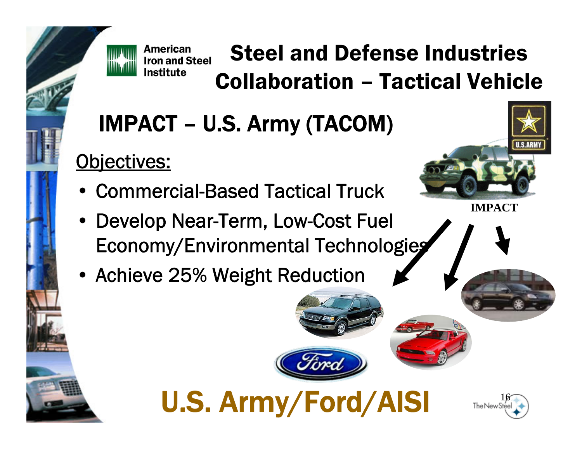

**American** 

Institute

#### Steel and Defense Industries **Iron and Steel** Collaboration – Tactical Vehicle

# IMPACT – U.S. Army (TACOM)

#### Objectives:

- •Commercial-Based Tactical Truck
- • Develop Near-Term, Low-Cost Fuel Economy/Environmental Technologies

U.S. Army/Ford/AISI

• Achieve 25% Weight Reduction



**IMPACT**

16

The New S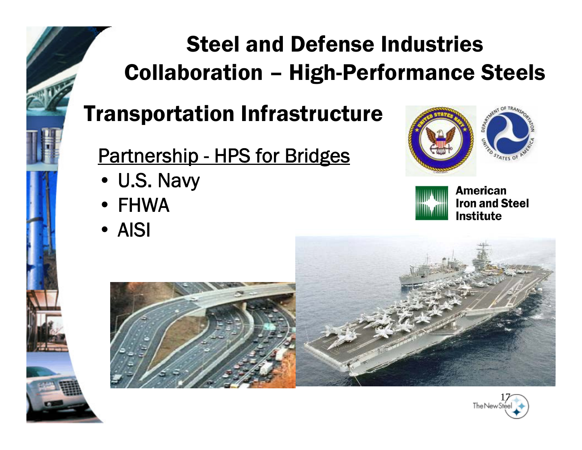# Steel and Defense Industries Collaboration – High-Performance Steels

#### Transportation Infrastructure

#### <u> Partnership - HPS for Bridges</u>

- U.S. Navy
- FHWA
- AISI





**American Iron and Steel Institute** 



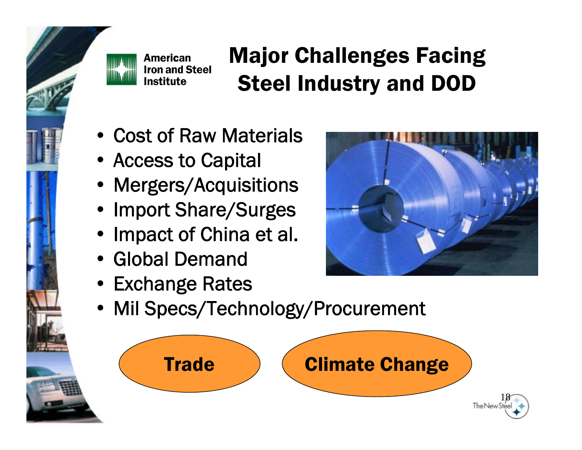

# Major Challenges Facing Steel Industry and DOD

- Cost of Raw Materials
- Access to Capital
- •Mergers/Acquisitions
- •Import Share/Surges
- •Impact of China et al.
- Global Demand
- Exchange Rates



•Mil Specs/Technology/Procurement

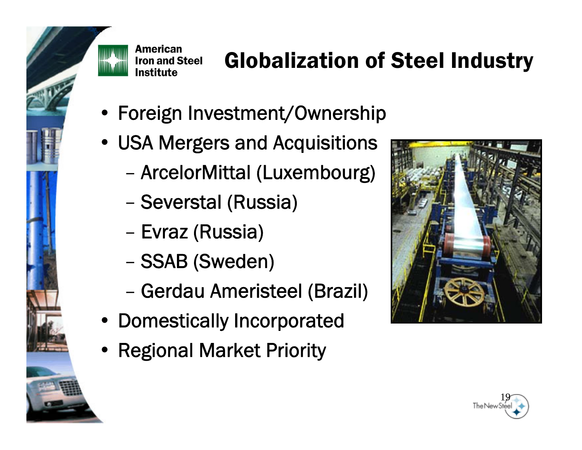

# Globalization of Steel Industry

- Foreign Investment/Ownership
- USA Mergers and Acquisitions
	- ArcelorMittal (Luxembourg)
	- Severstal (Russia)
	- Evraz (Russia)
	- $-$  . ). ) and in the set of  $\sim$ SSAB (Sweden)
	- Gerdau Ameristeel (Brazil)
- Domestically Incorporated
- Regional Market Priority



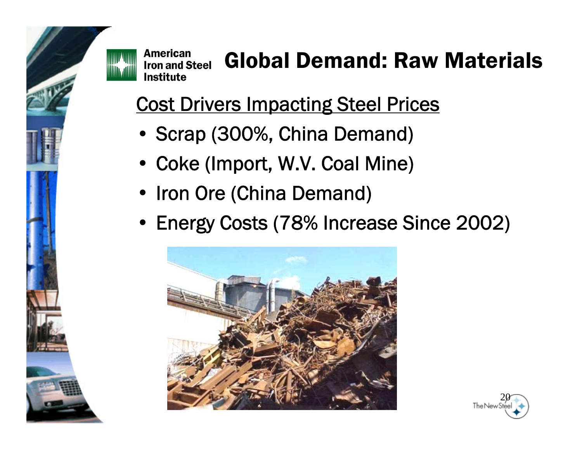

# Global Demand: Raw Materials

Cost Drivers Impacting Steel Prices

- Scrap (300%, China Demand)
- Coke (Import, W.V. Coal Mine)
- Iron Ore (China Demand)
- Energy Costs (78% Increase Since 2002)



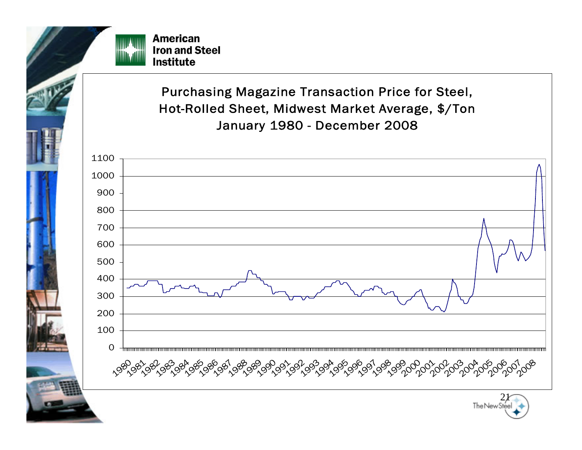

Purchasing Magazine Transaction Price for Steel, Hot-Rolled Sheet, Midwest Market Average, \$/Ton January 1980 - December 2008

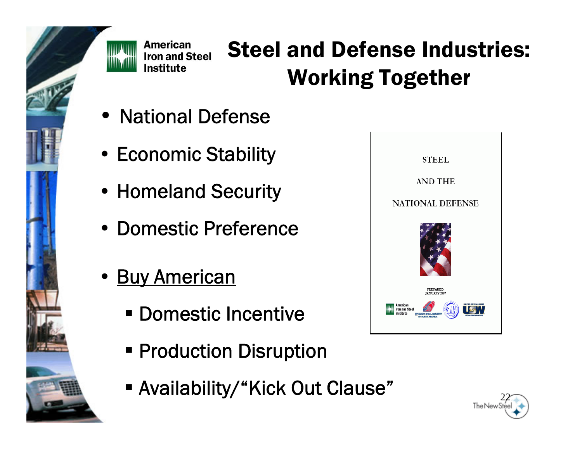

# Steel and Defense Industries: Working Together

- National Defense
- Economic Stability
- Homeland Security
- Domestic Preference
- Buy American
	- Domestic Incentive
	- **Production Disruption**
	- $\blacksquare$  Availability/"Kick Out Clause"  $\blacksquare$